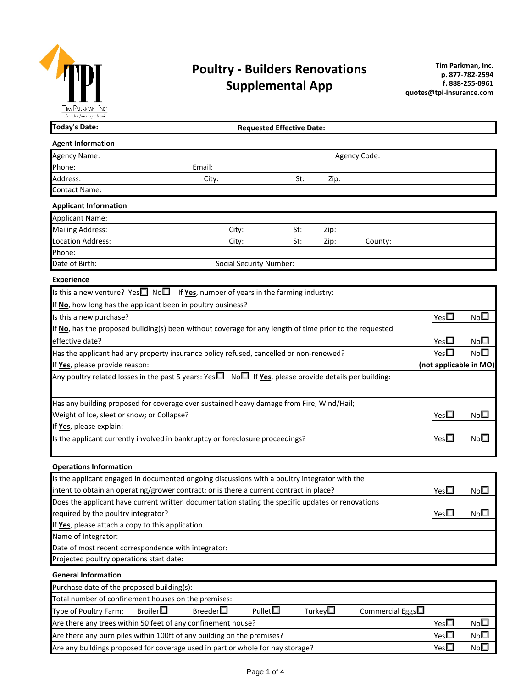

# **Poultry - Builders Renovations Supplemental App**

| I IM I'ARKMAN, INC<br>For the Journey ahead                                            |                                                                                                                   |                                  |      |              |               |                 |
|----------------------------------------------------------------------------------------|-------------------------------------------------------------------------------------------------------------------|----------------------------------|------|--------------|---------------|-----------------|
| <b>Today's Date:</b>                                                                   |                                                                                                                   | <b>Requested Effective Date:</b> |      |              |               |                 |
| <b>Agent Information</b>                                                               |                                                                                                                   |                                  |      |              |               |                 |
| Agency Name:                                                                           |                                                                                                                   |                                  |      | Agency Code: |               |                 |
| Phone:                                                                                 | Email:                                                                                                            |                                  |      |              |               |                 |
| Address:                                                                               | City:                                                                                                             | St:                              | Zip: |              |               |                 |
| Contact Name:                                                                          |                                                                                                                   |                                  |      |              |               |                 |
| <b>Applicant Information</b>                                                           |                                                                                                                   |                                  |      |              |               |                 |
| <b>Applicant Name:</b>                                                                 |                                                                                                                   |                                  |      |              |               |                 |
| <b>Mailing Address:</b>                                                                | City:                                                                                                             | St:                              | Zip: |              |               |                 |
| <b>Location Address:</b>                                                               | City:                                                                                                             | St:                              | Zip: | County:      |               |                 |
| Phone:                                                                                 |                                                                                                                   |                                  |      |              |               |                 |
| Date of Birth:                                                                         | <b>Social Security Number:</b>                                                                                    |                                  |      |              |               |                 |
| <b>Experience</b>                                                                      |                                                                                                                   |                                  |      |              |               |                 |
|                                                                                        | Is this a new venture? Yes $\square$ No $\square$ If <b>Yes</b> , number of years in the farming industry:        |                                  |      |              |               |                 |
| If No, how long has the applicant been in poultry business?                            |                                                                                                                   |                                  |      |              |               |                 |
| Is this a new purchase?                                                                | Yes $\square$                                                                                                     | No <sub>1</sub>                  |      |              |               |                 |
|                                                                                        | If No, has the proposed building(s) been without coverage for any length of time prior to the requested           |                                  |      |              |               |                 |
| effective date?                                                                        | Yes $\Box$                                                                                                        | No <sub>1</sub>                  |      |              |               |                 |
| Has the applicant had any property insurance policy refused, cancelled or non-renewed? | $Yes\square$                                                                                                      | No $\square$                     |      |              |               |                 |
| If Yes, please provide reason:                                                         | (not applicable in MO)                                                                                            |                                  |      |              |               |                 |
|                                                                                        | Any poultry related losses in the past 5 years: Yes $\Box$ No $\Box$ If Yes, please provide details per building: |                                  |      |              |               |                 |
|                                                                                        |                                                                                                                   |                                  |      |              |               |                 |
|                                                                                        | Has any building proposed for coverage ever sustained heavy damage from Fire; Wind/Hail;                          |                                  |      |              |               |                 |
| Weight of Ice, sleet or snow; or Collapse?                                             |                                                                                                                   |                                  |      |              | Yes           | No <sup>1</sup> |
| If Yes, please explain:                                                                |                                                                                                                   |                                  |      |              |               |                 |
|                                                                                        | Is the applicant currently involved in bankruptcy or foreclosure proceedings?                                     |                                  |      |              | Yes $\Box$    | $No\square$     |
|                                                                                        |                                                                                                                   |                                  |      |              |               |                 |
| <b>Operations Information</b>                                                          |                                                                                                                   |                                  |      |              |               |                 |
|                                                                                        | Is the applicant engaged in documented ongoing discussions with a poultry integrator with the                     |                                  |      |              |               |                 |
|                                                                                        | intent to obtain an operating/grower contract; or is there a current contract in place?                           |                                  |      |              | Yes $\square$ | $No\Box$        |
|                                                                                        | Does the applicant have current written documentation stating the specific updates or renovations                 |                                  |      |              |               |                 |
| required by the poultry integrator?                                                    |                                                                                                                   |                                  |      |              | Yes $\square$ | No <sup>1</sup> |
| If Yes, please attach a copy to this application.                                      |                                                                                                                   |                                  |      |              |               |                 |
| Name of Integrator:                                                                    |                                                                                                                   |                                  |      |              |               |                 |
| Date of most recent correspondence with integrator:                                    |                                                                                                                   |                                  |      |              |               |                 |
| Projected poultry operations start date:                                               |                                                                                                                   |                                  |      |              |               |                 |
| <b>General Information</b>                                                             |                                                                                                                   |                                  |      |              |               |                 |
| Purchase date of the proposed building(s):                                             |                                                                                                                   |                                  |      |              |               |                 |
|                                                                                        |                                                                                                                   |                                  |      |              |               |                 |

| <b>Truiciase date of the proposed building (S).</b>                            |                   |                   |                  |                  |                        |               |                 |  |  |  |  |  |
|--------------------------------------------------------------------------------|-------------------|-------------------|------------------|------------------|------------------------|---------------|-----------------|--|--|--|--|--|
| Total number of confinement houses on the premises:                            |                   |                   |                  |                  |                        |               |                 |  |  |  |  |  |
| Type of Poultry Farm:                                                          | Broiler $\square$ | Breeder $\square$ | Pullet $\square$ | Turkev $\square$ | Commercial Eggs $\Box$ |               |                 |  |  |  |  |  |
| Are there any trees within 50 feet of any confinement house?                   |                   |                   |                  |                  |                        | Yes $\square$ | No <sup>1</sup> |  |  |  |  |  |
| Are there any burn piles within 100ft of any building on the premises?         |                   |                   |                  |                  |                        | Yes $\Box$    | No $\square$    |  |  |  |  |  |
| Are any buildings proposed for coverage used in part or whole for hay storage? |                   |                   |                  |                  |                        | Yes□          | No <sup>1</sup> |  |  |  |  |  |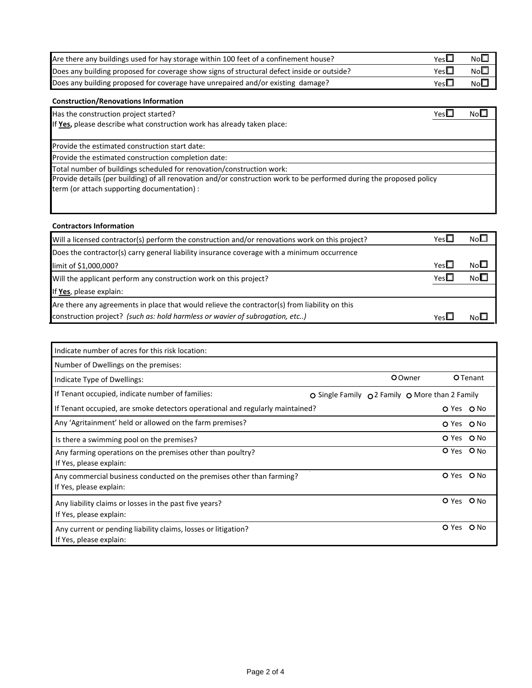| Are there any buildings used for hay storage within 100 feet of a confinement house?       | Yes∟ | No $\square$ |
|--------------------------------------------------------------------------------------------|------|--------------|
| Does any building proposed for coverage show signs of structural defect inside or outside? | Yes⊡ | NoE          |
| Does any building proposed for coverage have unrepaired and/or existing damage?            | Yes∟ | NoE          |

### **Construction/Renovations Information**

Has the construction project started?  $N_0 \Box$ 

If **Yes,** please describe what construction work has already taken place:

Provide the estimated construction start date:

Provide the estimated construction completion date:

Total number of buildings scheduled for renovation/construction work:

Provide details (per building) of all renovation and/or construction work to be performed during the proposed policy term (or attach supporting documentation) :

#### **Contractors Information**

| Will a licensed contractor(s) perform the construction and/or renovations work on this project? | YesL       | No <sup>1</sup> |
|-------------------------------------------------------------------------------------------------|------------|-----------------|
| Does the contractor(s) carry general liability insurance coverage with a minimum occurrence     |            |                 |
| limit of \$1,000,000?                                                                           | Yes $\Box$ | No $\square$    |
| Will the applicant perform any construction work on this project?                               | Yes $\Box$ | No <sup>2</sup> |
| If Yes, please explain:                                                                         |            |                 |
| Are there any agreements in place that would relieve the contractor(s) from liability on this   |            |                 |
| construction project? (such as: hold harmless or wavier of subrogation, etc)                    | YesL       | No⊫             |

| Indicate number of acres for this risk location:                                                 |                                                 |                 |
|--------------------------------------------------------------------------------------------------|-------------------------------------------------|-----------------|
| Number of Dwellings on the premises:                                                             |                                                 |                 |
| Indicate Type of Dwellings:                                                                      | <b>O</b> Owner                                  | <b>O</b> Tenant |
| If Tenant occupied, indicate number of families:                                                 | ○ Single Family ○ 2 Family ○ More than 2 Family |                 |
| If Tenant occupied, are smoke detectors operational and regularly maintained?                    |                                                 | O Yes O No      |
| Any 'Agritainment' held or allowed on the farm premises?                                         |                                                 | O Yes O No      |
| Is there a swimming pool on the premises?                                                        |                                                 | O Yes O No      |
| Any farming operations on the premises other than poultry?<br>If Yes, please explain:            |                                                 | O Yes O No      |
| Any commercial business conducted on the premises other than farming?<br>If Yes, please explain: |                                                 | O Yes<br>$O$ No |
| Any liability claims or losses in the past five years?<br>If Yes, please explain:                |                                                 | O Yes<br>$O$ No |
| Any current or pending liability claims, losses or litigation?<br>If Yes, please explain:        |                                                 | O Yes<br>O No   |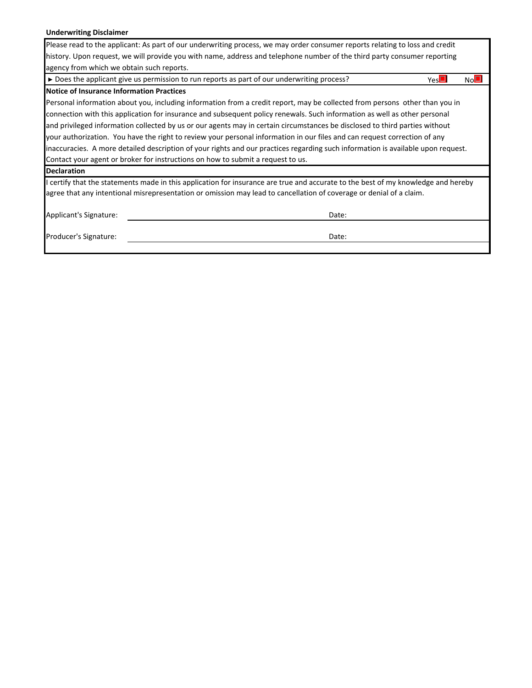### **Underwriting Disclaimer**

| Please read to the applicant: As part of our underwriting process, we may order consumer reports relating to loss and credit      |    |  |  |  |  |  |  |  |  |  |  |  |
|-----------------------------------------------------------------------------------------------------------------------------------|----|--|--|--|--|--|--|--|--|--|--|--|
| history. Upon request, we will provide you with name, address and telephone number of the third party consumer reporting          |    |  |  |  |  |  |  |  |  |  |  |  |
| agency from which we obtain such reports.                                                                                         |    |  |  |  |  |  |  |  |  |  |  |  |
| $\triangleright$ Does the applicant give us permission to run reports as part of our underwriting process?<br>Yes                 | No |  |  |  |  |  |  |  |  |  |  |  |
| Notice of Insurance Information Practices                                                                                         |    |  |  |  |  |  |  |  |  |  |  |  |
| Personal information about you, including information from a credit report, may be collected from persons other than you in       |    |  |  |  |  |  |  |  |  |  |  |  |
| connection with this application for insurance and subsequent policy renewals. Such information as well as other personal         |    |  |  |  |  |  |  |  |  |  |  |  |
| and privileged information collected by us or our agents may in certain circumstances be disclosed to third parties without       |    |  |  |  |  |  |  |  |  |  |  |  |
| your authorization. You have the right to review your personal information in our files and can request correction of any         |    |  |  |  |  |  |  |  |  |  |  |  |
| linaccuracies. A more detailed description of your rights and our practices regarding such information is available upon request. |    |  |  |  |  |  |  |  |  |  |  |  |
| Contact your agent or broker for instructions on how to submit a request to us.                                                   |    |  |  |  |  |  |  |  |  |  |  |  |
| <b>Declaration</b>                                                                                                                |    |  |  |  |  |  |  |  |  |  |  |  |
| I certify that the statements made in this application for insurance are true and accurate to the best of my knowledge and hereby |    |  |  |  |  |  |  |  |  |  |  |  |
| lagree that any intentional misrepresentation or omission may lead to cancellation of coverage or denial of a claim.              |    |  |  |  |  |  |  |  |  |  |  |  |
| Applicant's Signature:<br>Date:                                                                                                   |    |  |  |  |  |  |  |  |  |  |  |  |
|                                                                                                                                   |    |  |  |  |  |  |  |  |  |  |  |  |
| Producer's Signature:<br>Date:                                                                                                    |    |  |  |  |  |  |  |  |  |  |  |  |
|                                                                                                                                   |    |  |  |  |  |  |  |  |  |  |  |  |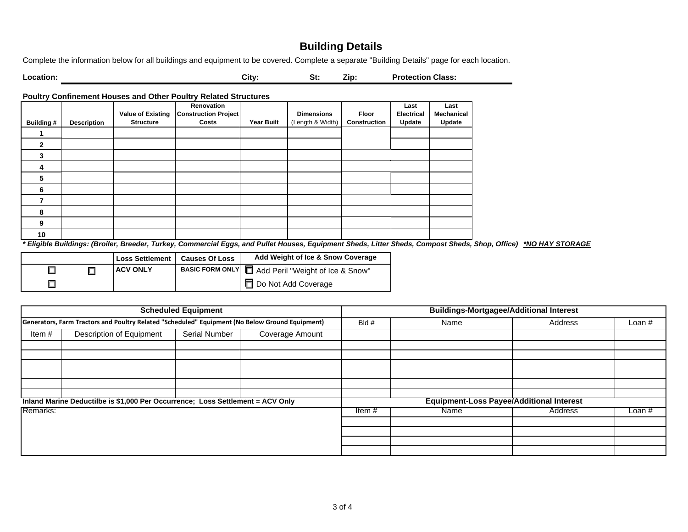## **Building Details**

Complete the information below for all buildings and equipment to be covered. Complete a separate "Building Details" page for each location.

**City: St: Zip: Protection Class:**

**Poultry Confinement Houses and Other Poultry Related Structures**

**Location:**

|               |                    |                  | Renovation                               |                   |                   |              | Last              | Last       |
|---------------|--------------------|------------------|------------------------------------------|-------------------|-------------------|--------------|-------------------|------------|
|               |                    |                  | Value of Existing   Construction Project |                   | <b>Dimensions</b> | Floor        | <b>Electrical</b> | Mechanical |
| Building #    | <b>Description</b> | <b>Structure</b> | Costs                                    | <b>Year Built</b> | (Length & Width)  | Construction | Update            | Update     |
|               |                    |                  |                                          |                   |                   |              |                   |            |
| $\mathfrak z$ |                    |                  |                                          |                   |                   |              |                   |            |
| 3             |                    |                  |                                          |                   |                   |              |                   |            |
| 4             |                    |                  |                                          |                   |                   |              |                   |            |
| 5             |                    |                  |                                          |                   |                   |              |                   |            |
| 6             |                    |                  |                                          |                   |                   |              |                   |            |
|               |                    |                  |                                          |                   |                   |              |                   |            |
| 8             |                    |                  |                                          |                   |                   |              |                   |            |
| 9             |                    |                  |                                          |                   |                   |              |                   |            |
| 10            |                    |                  |                                          |                   |                   |              |                   |            |

*\* Eligible Buildings: (Broiler, Breeder, Turkey, Commercial Eggs, and Pullet Houses, Equipment Sheds, Litter Sheds, Compost Sheds, Shop, Office) \*NO HAY STORAGE*

|  | <b>Loss Settlement</b> | <b>Causes Of Loss</b> | Add Weight of Ice & Snow Coverage                  |
|--|------------------------|-----------------------|----------------------------------------------------|
|  | <b>ACV ONLY</b>        |                       | BASIC FORM ONLY   Add Peril "Weight of Ice & Snow" |
|  |                        |                       | Ⅰ□ Do Not Add Coverage                             |

|          |                                                                                                 | <b>Scheduled Equipment</b> |                 | <b>Buildings-Mortgagee/Additional Interest</b> |                                                 |         |          |  |  |  |  |  |  |  |
|----------|-------------------------------------------------------------------------------------------------|----------------------------|-----------------|------------------------------------------------|-------------------------------------------------|---------|----------|--|--|--|--|--|--|--|
|          | Generators, Farm Tractors and Poultry Related "Scheduled" Equipment (No Below Ground Equipment) |                            |                 | Bld #                                          | Name                                            | Address | Loan $#$ |  |  |  |  |  |  |  |
| Item#    | Description of Equipment                                                                        | Serial Number              | Coverage Amount |                                                |                                                 |         |          |  |  |  |  |  |  |  |
|          |                                                                                                 |                            |                 |                                                |                                                 |         |          |  |  |  |  |  |  |  |
|          |                                                                                                 |                            |                 |                                                |                                                 |         |          |  |  |  |  |  |  |  |
|          |                                                                                                 |                            |                 |                                                |                                                 |         |          |  |  |  |  |  |  |  |
|          |                                                                                                 |                            |                 |                                                |                                                 |         |          |  |  |  |  |  |  |  |
|          |                                                                                                 |                            |                 |                                                |                                                 |         |          |  |  |  |  |  |  |  |
|          |                                                                                                 |                            |                 |                                                |                                                 |         |          |  |  |  |  |  |  |  |
|          | Inland Marine Deductilbe is \$1,000 Per Occurrence; Loss Settlement = ACV Only                  |                            |                 |                                                | <b>Equipment-Loss Payee/Additional Interest</b> |         |          |  |  |  |  |  |  |  |
| Remarks: |                                                                                                 |                            |                 | Item#                                          | Name                                            | Address | Loan $#$ |  |  |  |  |  |  |  |
|          |                                                                                                 |                            |                 |                                                |                                                 |         |          |  |  |  |  |  |  |  |
|          |                                                                                                 |                            |                 |                                                |                                                 |         |          |  |  |  |  |  |  |  |
|          |                                                                                                 |                            |                 |                                                |                                                 |         |          |  |  |  |  |  |  |  |
|          |                                                                                                 |                            |                 |                                                |                                                 |         |          |  |  |  |  |  |  |  |